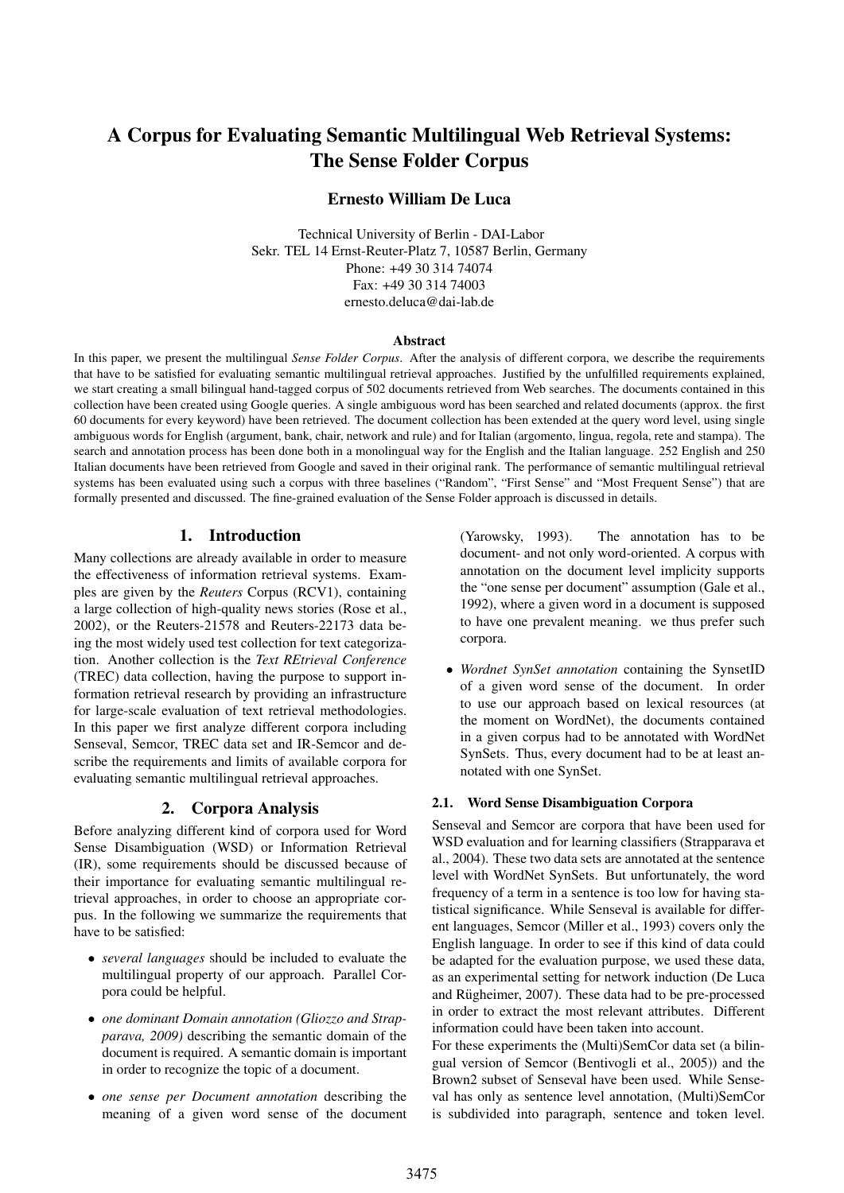# A Corpus for Evaluating Semantic Multilingual Web Retrieval Systems: The Sense Folder Corpus

# Ernesto William De Luca

Technical University of Berlin - DAI-Labor Sekr. TEL 14 Ernst-Reuter-Platz 7, 10587 Berlin, Germany Phone: +49 30 314 74074 Fax: +49 30 314 74003 ernesto.deluca@dai-lab.de

#### **Abstract**

In this paper, we present the multilingual *Sense Folder Corpus*. After the analysis of different corpora, we describe the requirements that have to be satisfied for evaluating semantic multilingual retrieval approaches. Justified by the unfulfilled requirements explained, we start creating a small bilingual hand-tagged corpus of 502 documents retrieved from Web searches. The documents contained in this collection have been created using Google queries. A single ambiguous word has been searched and related documents (approx. the first 60 documents for every keyword) have been retrieved. The document collection has been extended at the query word level, using single ambiguous words for English (argument, bank, chair, network and rule) and for Italian (argomento, lingua, regola, rete and stampa). The search and annotation process has been done both in a monolingual way for the English and the Italian language. 252 English and 250 Italian documents have been retrieved from Google and saved in their original rank. The performance of semantic multilingual retrieval systems has been evaluated using such a corpus with three baselines ("Random", "First Sense" and "Most Frequent Sense") that are formally presented and discussed. The fine-grained evaluation of the Sense Folder approach is discussed in details.

### 1. Introduction

Many collections are already available in order to measure the effectiveness of information retrieval systems. Examples are given by the *Reuters* Corpus (RCV1), containing a large collection of high-quality news stories (Rose et al., 2002), or the Reuters-21578 and Reuters-22173 data being the most widely used test collection for text categorization. Another collection is the *Text REtrieval Conference* (TREC) data collection, having the purpose to support information retrieval research by providing an infrastructure for large-scale evaluation of text retrieval methodologies. In this paper we first analyze different corpora including Senseval, Semcor, TREC data set and IR-Semcor and describe the requirements and limits of available corpora for evaluating semantic multilingual retrieval approaches.

#### 2. Corpora Analysis

Before analyzing different kind of corpora used for Word Sense Disambiguation (WSD) or Information Retrieval (IR), some requirements should be discussed because of their importance for evaluating semantic multilingual retrieval approaches, in order to choose an appropriate corpus. In the following we summarize the requirements that have to be satisfied:

- *several languages* should be included to evaluate the multilingual property of our approach. Parallel Corpora could be helpful.
- *one dominant Domain annotation (Gliozzo and Strapparava, 2009)* describing the semantic domain of the document is required. A semantic domain is important in order to recognize the topic of a document.
- *one sense per Document annotation* describing the meaning of a given word sense of the document

(Yarowsky, 1993). The annotation has to be document- and not only word-oriented. A corpus with annotation on the document level implicity supports the "one sense per document" assumption (Gale et al., 1992), where a given word in a document is supposed to have one prevalent meaning. we thus prefer such corpora.

• *Wordnet SynSet annotation* containing the SynsetID of a given word sense of the document. In order to use our approach based on lexical resources (at the moment on WordNet), the documents contained in a given corpus had to be annotated with WordNet SynSets. Thus, every document had to be at least annotated with one SynSet.

#### 2.1. Word Sense Disambiguation Corpora

Senseval and Semcor are corpora that have been used for WSD evaluation and for learning classifiers (Strapparava et al., 2004). These two data sets are annotated at the sentence level with WordNet SynSets. But unfortunately, the word frequency of a term in a sentence is too low for having statistical significance. While Senseval is available for different languages, Semcor (Miller et al., 1993) covers only the English language. In order to see if this kind of data could be adapted for the evaluation purpose, we used these data, as an experimental setting for network induction (De Luca and Rügheimer, 2007). These data had to be pre-processed in order to extract the most relevant attributes. Different information could have been taken into account.

For these experiments the (Multi)SemCor data set (a bilingual version of Semcor (Bentivogli et al., 2005)) and the Brown2 subset of Senseval have been used. While Senseval has only as sentence level annotation, (Multi)SemCor is subdivided into paragraph, sentence and token level.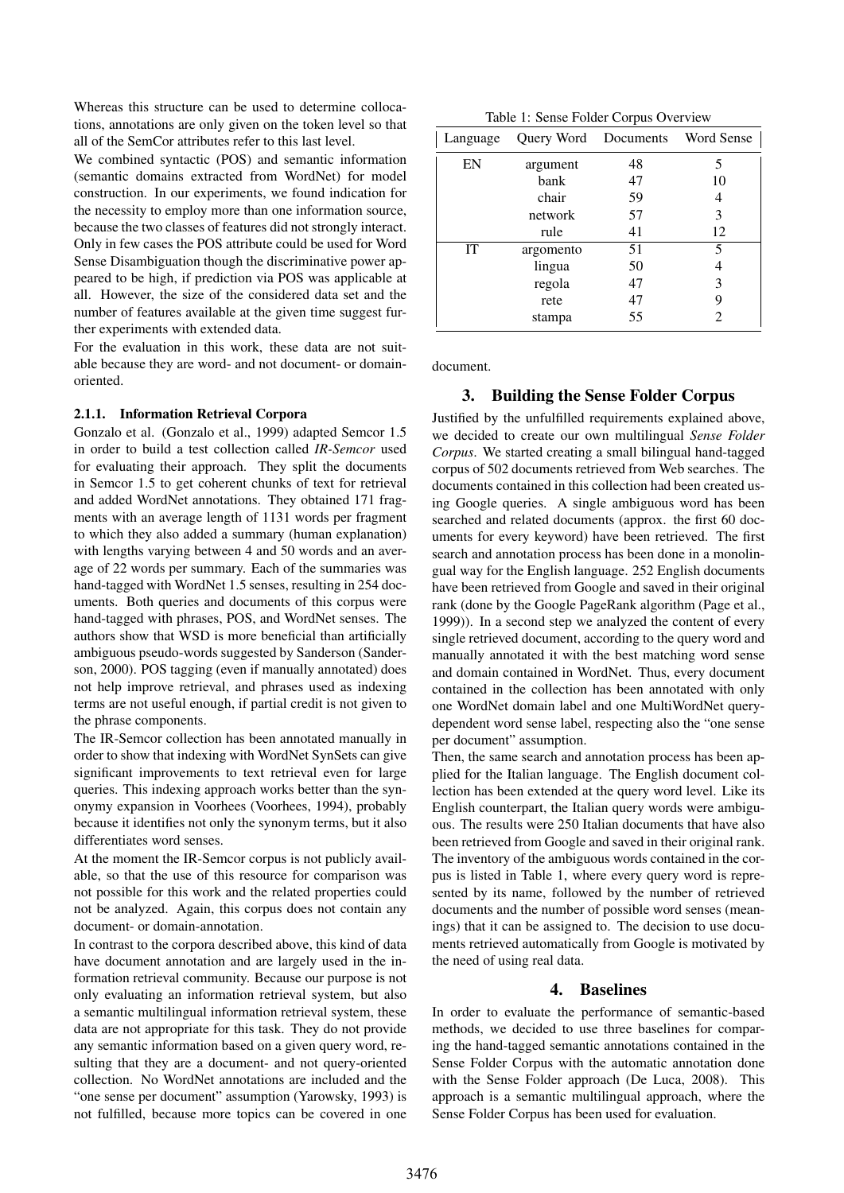Whereas this structure can be used to determine collocations, annotations are only given on the token level so that all of the SemCor attributes refer to this last level.

We combined syntactic (POS) and semantic information (semantic domains extracted from WordNet) for model construction. In our experiments, we found indication for the necessity to employ more than one information source, because the two classes of features did not strongly interact. Only in few cases the POS attribute could be used for Word Sense Disambiguation though the discriminative power appeared to be high, if prediction via POS was applicable at all. However, the size of the considered data set and the number of features available at the given time suggest further experiments with extended data.

For the evaluation in this work, these data are not suitable because they are word- and not document- or domainoriented.

#### 2.1.1. Information Retrieval Corpora

Gonzalo et al. (Gonzalo et al., 1999) adapted Semcor 1.5 in order to build a test collection called *IR-Semcor* used for evaluating their approach. They split the documents in Semcor 1.5 to get coherent chunks of text for retrieval and added WordNet annotations. They obtained 171 fragments with an average length of 1131 words per fragment to which they also added a summary (human explanation) with lengths varying between 4 and 50 words and an average of 22 words per summary. Each of the summaries was hand-tagged with WordNet 1.5 senses, resulting in 254 documents. Both queries and documents of this corpus were hand-tagged with phrases, POS, and WordNet senses. The authors show that WSD is more beneficial than artificially ambiguous pseudo-words suggested by Sanderson (Sanderson, 2000). POS tagging (even if manually annotated) does not help improve retrieval, and phrases used as indexing terms are not useful enough, if partial credit is not given to the phrase components.

The IR-Semcor collection has been annotated manually in order to show that indexing with WordNet SynSets can give significant improvements to text retrieval even for large queries. This indexing approach works better than the synonymy expansion in Voorhees (Voorhees, 1994), probably because it identifies not only the synonym terms, but it also differentiates word senses.

At the moment the IR-Semcor corpus is not publicly available, so that the use of this resource for comparison was not possible for this work and the related properties could not be analyzed. Again, this corpus does not contain any document- or domain-annotation.

In contrast to the corpora described above, this kind of data have document annotation and are largely used in the information retrieval community. Because our purpose is not only evaluating an information retrieval system, but also a semantic multilingual information retrieval system, these data are not appropriate for this task. They do not provide any semantic information based on a given query word, resulting that they are a document- and not query-oriented collection. No WordNet annotations are included and the "one sense per document" assumption (Yarowsky, 1993) is not fulfilled, because more topics can be covered in one

| Language  |           | Query Word Documents Word Sense |    |  |
|-----------|-----------|---------------------------------|----|--|
| EN        | argument  | 48                              |    |  |
|           | bank      | 47                              | 10 |  |
|           | chair     | 59                              |    |  |
|           | network   | 57                              | 3  |  |
|           | rule      | 41                              | 12 |  |
| <b>IT</b> | argomento | 51                              | 5  |  |
|           | lingua    | 50                              |    |  |
|           | regola    | 47                              | 3  |  |
|           | rete      | 47                              | 9  |  |
|           | stampa    | 55                              |    |  |

document.

# 3. Building the Sense Folder Corpus

Justified by the unfulfilled requirements explained above, we decided to create our own multilingual *Sense Folder Corpus*. We started creating a small bilingual hand-tagged corpus of 502 documents retrieved from Web searches. The documents contained in this collection had been created using Google queries. A single ambiguous word has been searched and related documents (approx. the first 60 documents for every keyword) have been retrieved. The first search and annotation process has been done in a monolingual way for the English language. 252 English documents have been retrieved from Google and saved in their original rank (done by the Google PageRank algorithm (Page et al., 1999)). In a second step we analyzed the content of every single retrieved document, according to the query word and manually annotated it with the best matching word sense and domain contained in WordNet. Thus, every document contained in the collection has been annotated with only one WordNet domain label and one MultiWordNet querydependent word sense label, respecting also the "one sense per document" assumption.

Then, the same search and annotation process has been applied for the Italian language. The English document collection has been extended at the query word level. Like its English counterpart, the Italian query words were ambiguous. The results were 250 Italian documents that have also been retrieved from Google and saved in their original rank. The inventory of the ambiguous words contained in the corpus is listed in Table 1, where every query word is represented by its name, followed by the number of retrieved documents and the number of possible word senses (meanings) that it can be assigned to. The decision to use documents retrieved automatically from Google is motivated by the need of using real data.

# 4. Baselines

In order to evaluate the performance of semantic-based methods, we decided to use three baselines for comparing the hand-tagged semantic annotations contained in the Sense Folder Corpus with the automatic annotation done with the Sense Folder approach (De Luca, 2008). This approach is a semantic multilingual approach, where the Sense Folder Corpus has been used for evaluation.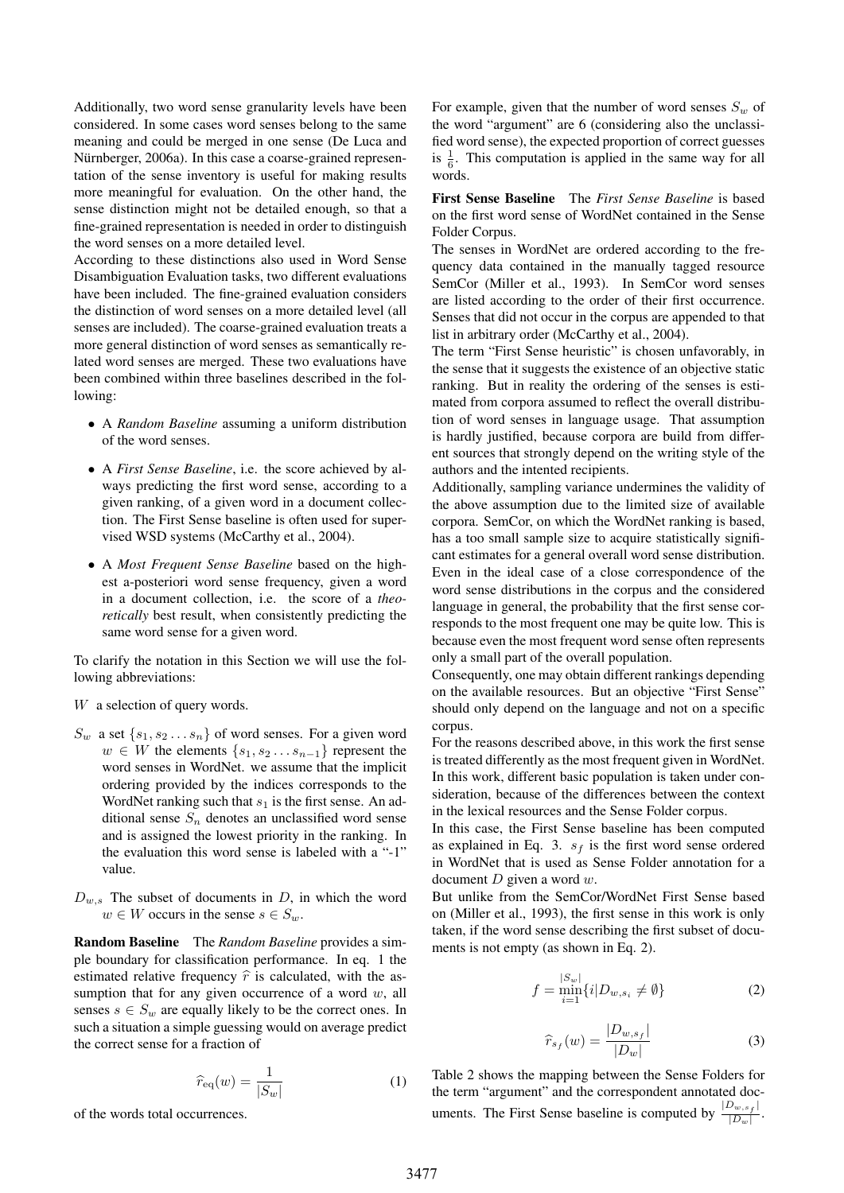Additionally, two word sense granularity levels have been considered. In some cases word senses belong to the same meaning and could be merged in one sense (De Luca and Nürnberger, 2006a). In this case a coarse-grained representation of the sense inventory is useful for making results more meaningful for evaluation. On the other hand, the sense distinction might not be detailed enough, so that a fine-grained representation is needed in order to distinguish the word senses on a more detailed level.

According to these distinctions also used in Word Sense Disambiguation Evaluation tasks, two different evaluations have been included. The fine-grained evaluation considers the distinction of word senses on a more detailed level (all senses are included). The coarse-grained evaluation treats a more general distinction of word senses as semantically related word senses are merged. These two evaluations have been combined within three baselines described in the following:

- A *Random Baseline* assuming a uniform distribution of the word senses.
- A *First Sense Baseline*, i.e. the score achieved by always predicting the first word sense, according to a given ranking, of a given word in a document collection. The First Sense baseline is often used for supervised WSD systems (McCarthy et al., 2004).
- A *Most Frequent Sense Baseline* based on the highest a-posteriori word sense frequency, given a word in a document collection, i.e. the score of a *theoretically* best result, when consistently predicting the same word sense for a given word.

To clarify the notation in this Section we will use the following abbreviations:

- W a selection of query words.
- $S_w$  a set  $\{s_1, s_2 \ldots s_n\}$  of word senses. For a given word  $w \in W$  the elements  $\{s_1, s_2 \ldots s_{n-1}\}$  represent the word senses in WordNet. we assume that the implicit ordering provided by the indices corresponds to the WordNet ranking such that  $s_1$  is the first sense. An additional sense  $S_n$  denotes an unclassified word sense and is assigned the lowest priority in the ranking. In the evaluation this word sense is labeled with a "-1" value.
- $D_{w,s}$  The subset of documents in D, in which the word  $w \in W$  occurs in the sense  $s \in S_w$ .

**Random Baseline** The *Random Baseline* provides a simple boundary for classification performance. In eq. 1 the estimated relative frequency  $\hat{r}$  is calculated, with the assumption that for any given occurrence of a word  $w$ , all senses  $s \in S_w$  are equally likely to be the correct ones. In such a situation a simple guessing would on average predict the correct sense for a fraction of

$$
\widehat{r}_{\text{eq}}(w) = \frac{1}{|S_w|} \tag{1}
$$

of the words total occurrences.

For example, given that the number of word senses  $S_w$  of the word "argument" are 6 (considering also the unclassified word sense), the expected proportion of correct guesses is  $\frac{1}{6}$ . This computation is applied in the same way for all words.

First Sense Baseline The *First Sense Baseline* is based on the first word sense of WordNet contained in the Sense Folder Corpus.

The senses in WordNet are ordered according to the frequency data contained in the manually tagged resource SemCor (Miller et al., 1993). In SemCor word senses are listed according to the order of their first occurrence. Senses that did not occur in the corpus are appended to that list in arbitrary order (McCarthy et al., 2004).

The term "First Sense heuristic" is chosen unfavorably, in the sense that it suggests the existence of an objective static ranking. But in reality the ordering of the senses is estimated from corpora assumed to reflect the overall distribution of word senses in language usage. That assumption is hardly justified, because corpora are build from different sources that strongly depend on the writing style of the authors and the intented recipients.

Additionally, sampling variance undermines the validity of the above assumption due to the limited size of available corpora. SemCor, on which the WordNet ranking is based, has a too small sample size to acquire statistically significant estimates for a general overall word sense distribution. Even in the ideal case of a close correspondence of the word sense distributions in the corpus and the considered language in general, the probability that the first sense corresponds to the most frequent one may be quite low. This is because even the most frequent word sense often represents only a small part of the overall population.

Consequently, one may obtain different rankings depending on the available resources. But an objective "First Sense" should only depend on the language and not on a specific corpus.

For the reasons described above, in this work the first sense is treated differently as the most frequent given in WordNet. In this work, different basic population is taken under consideration, because of the differences between the context in the lexical resources and the Sense Folder corpus.

In this case, the First Sense baseline has been computed as explained in Eq. 3.  $s_f$  is the first word sense ordered in WordNet that is used as Sense Folder annotation for a document  $D$  given a word  $w$ .

But unlike from the SemCor/WordNet First Sense based on (Miller et al., 1993), the first sense in this work is only taken, if the word sense describing the first subset of documents is not empty (as shown in Eq. 2).

$$
f = \min_{i=1}^{|S_w|} \{ i | D_{w, s_i} \neq \emptyset \}
$$
 (2)

$$
\widehat{r}_{s_f}(w) = \frac{|D_{w,s_f}|}{|D_w|} \tag{3}
$$

Table 2 shows the mapping between the Sense Folders for the term "argument" and the correspondent annotated documents. The First Sense baseline is computed by  $\frac{|D_{w,s_f}|}{|D|}$  $\frac{|w,s_{f}|}{|D_w|}$ .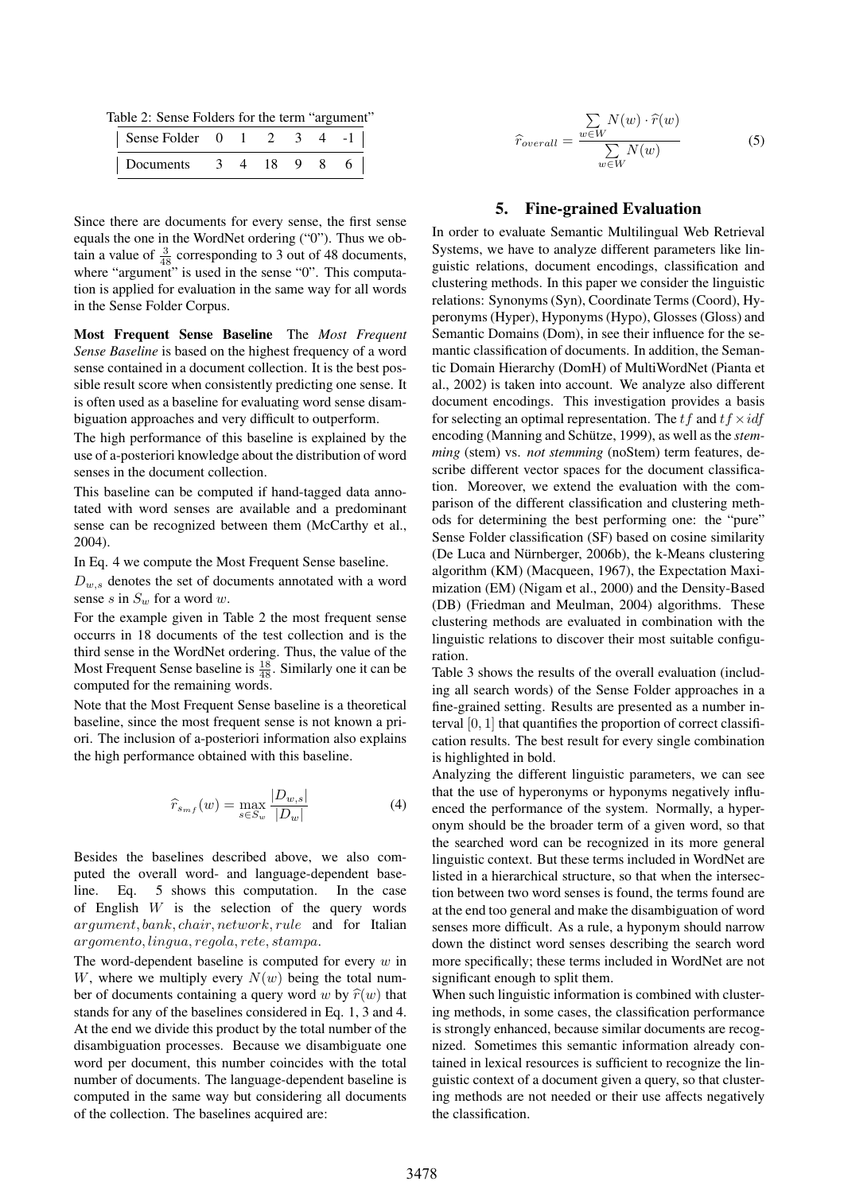Table 2: Sense Folders for the term "argument"

| Sense Folder $0 \t 1 \t 2 \t 3$ |  |  |  |
|---------------------------------|--|--|--|
| Documents 3 4 18 9 8 6          |  |  |  |

Since there are documents for every sense, the first sense equals the one in the WordNet ordering ("0"). Thus we obtain a value of  $\frac{3}{48}$  corresponding to 3 out of 48 documents, where "argument" is used in the sense "0". This computation is applied for evaluation in the same way for all words in the Sense Folder Corpus.

Most Frequent Sense Baseline The *Most Frequent Sense Baseline* is based on the highest frequency of a word sense contained in a document collection. It is the best possible result score when consistently predicting one sense. It is often used as a baseline for evaluating word sense disambiguation approaches and very difficult to outperform.

The high performance of this baseline is explained by the use of a-posteriori knowledge about the distribution of word senses in the document collection.

This baseline can be computed if hand-tagged data annotated with word senses are available and a predominant sense can be recognized between them (McCarthy et al., 2004).

In Eq. 4 we compute the Most Frequent Sense baseline.

 $D_{w,s}$  denotes the set of documents annotated with a word sense s in  $S_w$  for a word w.

For the example given in Table 2 the most frequent sense occurrs in 18 documents of the test collection and is the third sense in the WordNet ordering. Thus, the value of the Most Frequent Sense baseline is  $\frac{18}{48}$ . Similarly one it can be computed for the remaining words.

Note that the Most Frequent Sense baseline is a theoretical baseline, since the most frequent sense is not known a priori. The inclusion of a-posteriori information also explains the high performance obtained with this baseline.

$$
\widehat{r}_{s_{mf}}(w) = \max_{s \in S_w} \frac{|D_{w,s}|}{|D_w|} \tag{4}
$$

Besides the baselines described above, we also computed the overall word- and language-dependent baseline. Eq. 5 shows this computation. In the case of English  $W$  is the selection of the query words argument, bank, chair, network, rule and for Italian argomento, lingua, regola, rete, stampa.

The word-dependent baseline is computed for every  $w$  in W, where we multiply every  $N(w)$  being the total number of documents containing a query word w by  $\hat{r}(w)$  that stands for any of the baselines considered in Eq. 1, 3 and 4. At the end we divide this product by the total number of the disambiguation processes. Because we disambiguate one word per document, this number coincides with the total number of documents. The language-dependent baseline is computed in the same way but considering all documents of the collection. The baselines acquired are:

$$
\hat{r}_{overall} = \frac{\sum_{w \in W} N(w) \cdot \hat{r}(w)}{\sum_{w \in W} N(w)} \tag{5}
$$

### 5. Fine-grained Evaluation

In order to evaluate Semantic Multilingual Web Retrieval Systems, we have to analyze different parameters like linguistic relations, document encodings, classification and clustering methods. In this paper we consider the linguistic relations: Synonyms (Syn), Coordinate Terms (Coord), Hyperonyms (Hyper), Hyponyms (Hypo), Glosses (Gloss) and Semantic Domains (Dom), in see their influence for the semantic classification of documents. In addition, the Semantic Domain Hierarchy (DomH) of MultiWordNet (Pianta et al., 2002) is taken into account. We analyze also different document encodings. This investigation provides a basis for selecting an optimal representation. The t f and  $t \hat{f} \times id\hat{f}$ encoding (Manning and Schütze, 1999), as well as the *stemming* (stem) vs. *not stemming* (noStem) term features, describe different vector spaces for the document classification. Moreover, we extend the evaluation with the comparison of the different classification and clustering methods for determining the best performing one: the "pure" Sense Folder classification (SF) based on cosine similarity (De Luca and Nürnberger, 2006b), the k-Means clustering algorithm (KM) (Macqueen, 1967), the Expectation Maximization (EM) (Nigam et al., 2000) and the Density-Based (DB) (Friedman and Meulman, 2004) algorithms. These clustering methods are evaluated in combination with the linguistic relations to discover their most suitable configuration.

Table 3 shows the results of the overall evaluation (including all search words) of the Sense Folder approaches in a fine-grained setting. Results are presented as a number interval  $[0, 1]$  that quantifies the proportion of correct classification results. The best result for every single combination is highlighted in bold.

Analyzing the different linguistic parameters, we can see that the use of hyperonyms or hyponyms negatively influenced the performance of the system. Normally, a hyperonym should be the broader term of a given word, so that the searched word can be recognized in its more general linguistic context. But these terms included in WordNet are listed in a hierarchical structure, so that when the intersection between two word senses is found, the terms found are at the end too general and make the disambiguation of word senses more difficult. As a rule, a hyponym should narrow down the distinct word senses describing the search word more specifically; these terms included in WordNet are not significant enough to split them.

When such linguistic information is combined with clustering methods, in some cases, the classification performance is strongly enhanced, because similar documents are recognized. Sometimes this semantic information already contained in lexical resources is sufficient to recognize the linguistic context of a document given a query, so that clustering methods are not needed or their use affects negatively the classification.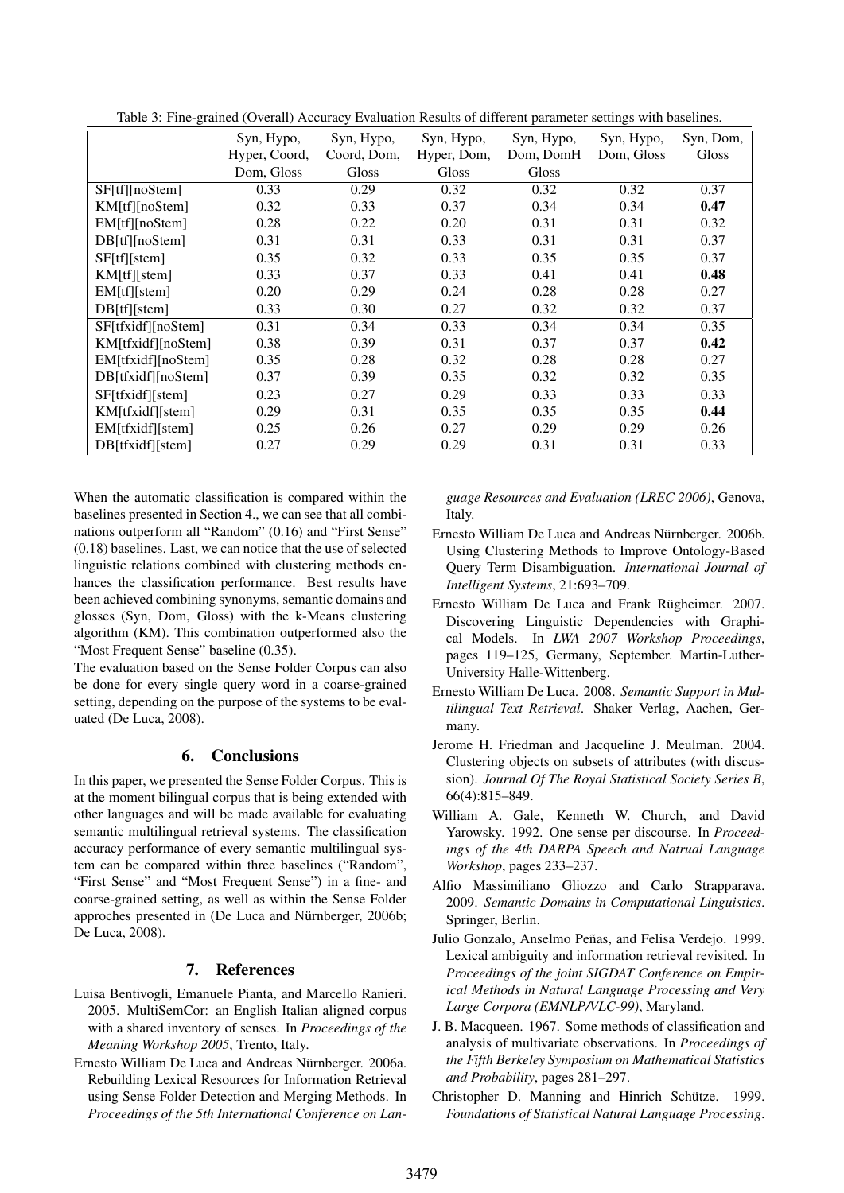|                    | Syn, Hypo,    | Syn, Hypo,   | Syn, Hypo,  | Syn, Hypo, | Syn, Hypo, | Syn, Dom, |
|--------------------|---------------|--------------|-------------|------------|------------|-----------|
|                    | Hyper, Coord, | Coord, Dom.  | Hyper, Dom, | Dom, DomH  | Dom, Gloss | Gloss     |
|                    | Dom, Gloss    | <b>Gloss</b> | Gloss       | Gloss      |            |           |
| SF[tf][noStem]     | 0.33          | 0.29         | 0.32        | 0.32       | 0.32       | 0.37      |
| KM[tf][noStem]     | 0.32          | 0.33         | 0.37        | 0.34       | 0.34       | 0.47      |
| EM[tf][noStem]     | 0.28          | 0.22         | 0.20        | 0.31       | 0.31       | 0.32      |
| DB[tf][noStem]     | 0.31          | 0.31         | 0.33        | 0.31       | 0.31       | 0.37      |
| SF[f][stem]        | 0.35          | 0.32         | 0.33        | 0.35       | 0.35       | 0.37      |
| KM[tf][stem]       | 0.33          | 0.37         | 0.33        | 0.41       | 0.41       | 0.48      |
| EM[tf][stem]       | 0.20          | 0.29         | 0.24        | 0.28       | 0.28       | 0.27      |
| DB[tf][stem]       | 0.33          | 0.30         | 0.27        | 0.32       | 0.32       | 0.37      |
| SF[tfxidf][noStem] | 0.31          | 0.34         | 0.33        | 0.34       | 0.34       | 0.35      |
| KM[tfxidf][noStem] | 0.38          | 0.39         | 0.31        | 0.37       | 0.37       | 0.42      |
| EM[tfxidf][noStem] | 0.35          | 0.28         | 0.32        | 0.28       | 0.28       | 0.27      |
| DB[tfxidf][noStem] | 0.37          | 0.39         | 0.35        | 0.32       | 0.32       | 0.35      |
| SF[tfxidf][stem]   | 0.23          | 0.27         | 0.29        | 0.33       | 0.33       | 0.33      |
| KM[tfxidf][stem]   | 0.29          | 0.31         | 0.35        | 0.35       | 0.35       | 0.44      |
| EM[tfxidf][stem]   | 0.25          | 0.26         | 0.27        | 0.29       | 0.29       | 0.26      |
| DB[tfxidf][stem]   | 0.27          | 0.29         | 0.29        | 0.31       | 0.31       | 0.33      |

Table 3: Fine-grained (Overall) Accuracy Evaluation Results of different parameter settings with baselines.

When the automatic classification is compared within the baselines presented in Section 4., we can see that all combinations outperform all "Random" (0.16) and "First Sense" (0.18) baselines. Last, we can notice that the use of selected linguistic relations combined with clustering methods enhances the classification performance. Best results have been achieved combining synonyms, semantic domains and glosses (Syn, Dom, Gloss) with the k-Means clustering algorithm (KM). This combination outperformed also the "Most Frequent Sense" baseline (0.35).

The evaluation based on the Sense Folder Corpus can also be done for every single query word in a coarse-grained setting, depending on the purpose of the systems to be evaluated (De Luca, 2008).

# 6. Conclusions

In this paper, we presented the Sense Folder Corpus. This is at the moment bilingual corpus that is being extended with other languages and will be made available for evaluating semantic multilingual retrieval systems. The classification accuracy performance of every semantic multilingual system can be compared within three baselines ("Random", "First Sense" and "Most Frequent Sense") in a fine- and coarse-grained setting, as well as within the Sense Folder approches presented in (De Luca and Nürnberger, 2006b; De Luca, 2008).

# 7. References

- Luisa Bentivogli, Emanuele Pianta, and Marcello Ranieri. 2005. MultiSemCor: an English Italian aligned corpus with a shared inventory of senses. In *Proceedings of the Meaning Workshop 2005*, Trento, Italy.
- Ernesto William De Luca and Andreas Nürnberger. 2006a. Rebuilding Lexical Resources for Information Retrieval using Sense Folder Detection and Merging Methods. In *Proceedings of the 5th International Conference on Lan-*

*guage Resources and Evaluation (LREC 2006)*, Genova, Italy.

- Ernesto William De Luca and Andreas Nürnberger. 2006b. Using Clustering Methods to Improve Ontology-Based Query Term Disambiguation. *International Journal of Intelligent Systems*, 21:693–709.
- Ernesto William De Luca and Frank Rügheimer. 2007. Discovering Linguistic Dependencies with Graphical Models. In *LWA 2007 Workshop Proceedings*, pages 119–125, Germany, September. Martin-Luther-University Halle-Wittenberg.
- Ernesto William De Luca. 2008. *Semantic Support in Multilingual Text Retrieval*. Shaker Verlag, Aachen, Germany.
- Jerome H. Friedman and Jacqueline J. Meulman. 2004. Clustering objects on subsets of attributes (with discussion). *Journal Of The Royal Statistical Society Series B*, 66(4):815–849.
- William A. Gale, Kenneth W. Church, and David Yarowsky. 1992. One sense per discourse. In *Proceedings of the 4th DARPA Speech and Natrual Language Workshop*, pages 233–237.
- Alfio Massimiliano Gliozzo and Carlo Strapparava. 2009. *Semantic Domains in Computational Linguistics*. Springer, Berlin.
- Julio Gonzalo, Anselmo Peñas, and Felisa Verdejo. 1999. Lexical ambiguity and information retrieval revisited. In *Proceedings of the joint SIGDAT Conference on Empirical Methods in Natural Language Processing and Very Large Corpora (EMNLP/VLC-99)*, Maryland.
- J. B. Macqueen. 1967. Some methods of classification and analysis of multivariate observations. In *Proceedings of the Fifth Berkeley Symposium on Mathematical Statistics and Probability*, pages 281–297.
- Christopher D. Manning and Hinrich Schütze. 1999. *Foundations of Statistical Natural Language Processing*.